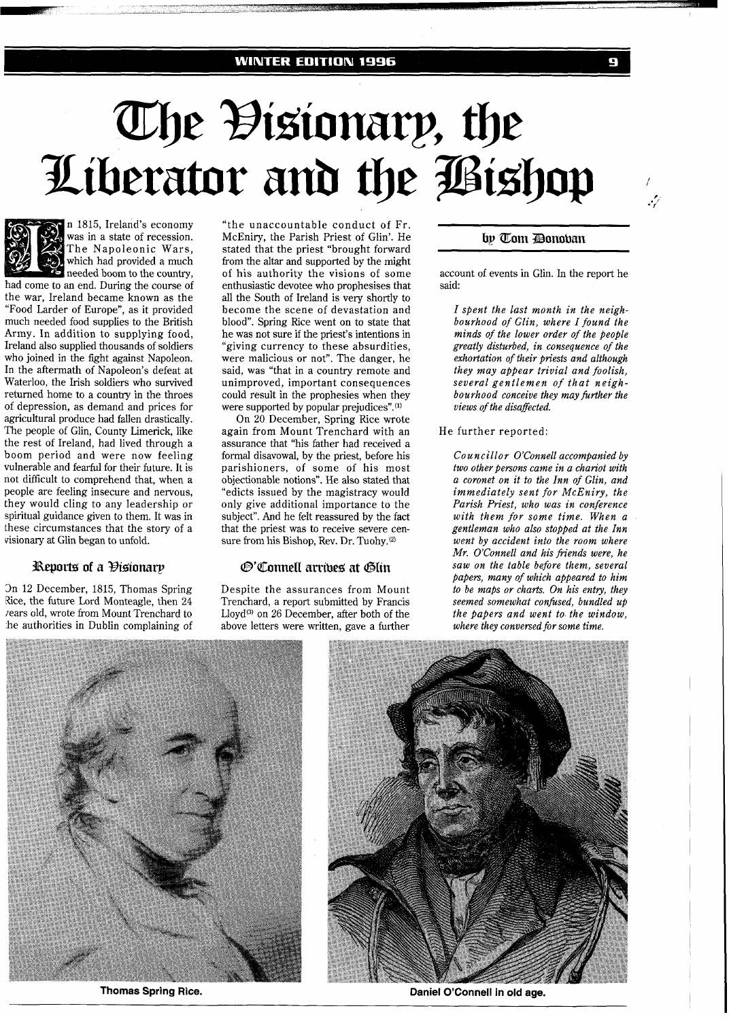# The Đisionary, the<br>Liberator and the Bishop



n 1815, Ireland's economy was in a state of recession. The Napoleonic Wars, which had provided a much needed boom to the countrv, had come to an end. During the course of

the war, Ireland became known as the "Food Larder of Europe", as it provided much needed food supplies to the British Army. In addition to supplying food, Ireland also supplied thousands of soldiers who joined in the fight against Napoleon. In the aftermath of Napoleon's defeat at Waterloo, the Irish soldiers who survived returned home to a country in the throes of depression, as demand and prices for agricultural produce had fallen drastically. The people of Glin, County Limerick, like the rest of Ireland, had lived through a boom period and were now feeling vulnerable and fearful for their future. It is not difficult to comprehend that, when a people are feeling insecure and nervous, they would cling to any leadership or spiritual guidance given to them. It was in these circumstances that the story of a visionary at Glin began to unfold.

# Reports of a Histonary

3n 12 December, 1815, Thomas Spring Rice, the future Lord Monteagle, then 24 rears old, wrote from Mount Trenchard to :he authorities in Dublin complaining of "the unaccountable conduct of Fr. McEniry, the Parish Priest of Glin'. He stated that the priest "brought forward from the altar and supported by the might of his authority the visions of some enthusiastic devotee who prophesises that all the South of Ireland is very shortly to become the scene of devastation and blood". Spring Rice went on to state that he was not sure if the priest's intentions in "giving currency to these absurdities, were malicious or not". The danger, he said, was "that in a country remote and unimproved, important consequences could result in the prophesies when they were supported by popular prejudices". $(1)$ 

On 20 December, Spring Rice wrote again from Mount Trenchard with an assurance that "his father had received a formal disavowal, by the priest, before his parishioners, of some of his most objectionable notions". He also stated that "edicts issued by the magistracy would only give additional importance to the subject". And he felt reassured by the fact that the priest was to receive severe censure from his Bishop, Rev. Dr. Tuohy.@)

# @'Connell arribes at Glin

Despite the assurances from Mount Trenchard, a report submitted by Francis Lloyd<sup>(3)</sup> on 26 December, after both of the above letters were written, gave a further

by Tom Donoban

G

يرممه

account of events in Glin. In the report he said:

*I spent the last month in the neighbourhood of Glin, where I found the minds of the lower order of the people greatly disturbed, in consequence of the exhortation of their priests and although they may appear trivial and foolish, several gentlemen of that neighbourhood conceive they may further the views of the disaffected.* 

### He further reported:

*CO* u *ncillor O'Connell accompanied by two other persons came in a chariot with a coronet on it to the Inn of Glin, and immediately sent for McEniry, the Parish Priest, who was in conference with them for some time. When a gentleman who also stopped at the Inn went by accident into the room where Mr. O'Connell and his fiends were, he saw on the table before them, several papers, many of which appeared to him to be maps or charts. On his entry, they seemed somewhat confused, bundled up the papers and went to. the window, where they conversed for some time.*